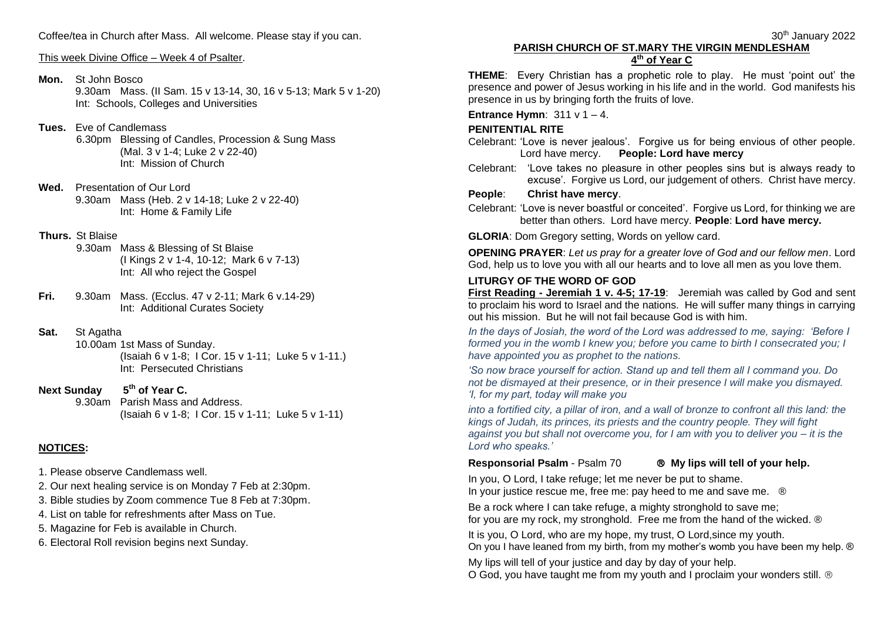Coffee/tea in Church after Mass. All welcome. Please stay if you can.

This week Divine Office – Week 4 of Psalter.

#### **Mon.** St John Bosco

9.30am Mass. (II Sam. 15 v 13-14, 30, 16 v 5-13; Mark 5 v 1-20) Int: Schools, Colleges and Universities

### **Tues.** Eve of Candlemass

6.30pm Blessing of Candles, Procession & Sung Mass (Mal. 3 v 1-4; Luke 2 v 22-40) Int: Mission of Church

- **Wed.** Presentation of Our Lord 9.30am Mass (Heb. 2 v 14-18; Luke 2 v 22-40) Int: Home & Family Life
- **Thurs.** St Blaise
	- 9.30am Mass & Blessing of St Blaise (I Kings 2 v 1-4, 10-12; Mark 6 v 7-13) Int: All who reject the Gospel
- **Fri.** 9.30am Mass. (Ecclus. 47 v 2-11; Mark 6 v.14-29) Int: Additional Curates Society

#### **Sat.** St Agatha

10.00am 1st Mass of Sunday. (Isaiah 6 v 1-8; I Cor. 15 v 1-11; Luke 5 v 1-11.) Int: Persecuted Christians

**Next Sunday th of Year C.** 9.30am Parish Mass and Address. (Isaiah 6 v 1-8; I Cor. 15 v 1-11; Luke 5 v 1-11)

# **NOTICES:**

- 1. Please observe Candlemass well.
- 2. Our next healing service is on Monday 7 Feb at 2:30pm.
- 3. Bible studies by Zoom commence Tue 8 Feb at 7:30pm.
- 4. List on table for refreshments after Mass on Tue.
- 5. Magazine for Feb is available in Church.
- 6. Electoral Roll revision begins next Sunday.

### **PARISH CHURCH OF ST.MARY THE VIRGIN MENDLESHAM 4 th of Year C**

**THEME**: Every Christian has a prophetic role to play. He must 'point out' the presence and power of Jesus working in his life and in the world. God manifests his presence in us by bringing forth the fruits of love.

**Entrance Hymn**: 311 v 1 – 4.

#### **PENITENTIAL RITE**

Celebrant: 'Love is never jealous'. Forgive us for being envious of other people. Lord have mercy. **People: Lord have mercy**

Celebrant: 'Love takes no pleasure in other peoples sins but is always ready to excuse'. Forgive us Lord, our judgement of others. Christ have mercy.

#### **People**: **Christ have mercy**.

Celebrant: 'Love is never boastful or conceited'. Forgive us Lord, for thinking we are better than others. Lord have mercy. **People**: **Lord have mercy.**

**GLORIA**: Dom Gregory setting, Words on yellow card.

**OPENING PRAYER**: *Let us pray for a greater love of God and our fellow men*. Lord God, help us to love you with all our hearts and to love all men as you love them.

#### **LITURGY OF THE WORD OF GOD**

**First Reading - Jeremiah 1 v. 4-5; 17-19**: Jeremiah was called by God and sent to proclaim his word to Israel and the nations. He will suffer many things in carrying out his mission. But he will not fail because God is with him.

*In the days of Josiah, the word of the Lord was addressed to me, saying: 'Before I formed you in the womb I knew you; before you came to birth I consecrated you; I have appointed you as prophet to the nations.*

*'So now brace yourself for action. Stand up and tell them all I command you. Do not be dismayed at their presence, or in their presence I will make you dismayed. 'I, for my part, today will make you*

*into a fortified city, a pillar of iron, and a wall of bronze to confront all this land: the kings of Judah, its princes, its priests and the country people. They will fight against you but shall not overcome you, for I am with you to deliver you – it is the Lord who speaks.'*

#### **Responsorial Psalm** - Psalm 70  **My lips will tell of your help.**

In you, O Lord, I take refuge; let me never be put to shame. In your justice rescue me, free me: pay heed to me and save me. ®

Be a rock where I can take refuge, a mighty stronghold to save me; for you are my rock, my stronghold. Free me from the hand of the wicked. ®

It is you, O Lord, who are my hope, my trust, O Lord,since my youth. On you I have leaned from my birth, from my mother's womb you have been my help. ®

My lips will tell of your justice and day by day of your help. O God, you have taught me from my youth and I proclaim your wonders still.